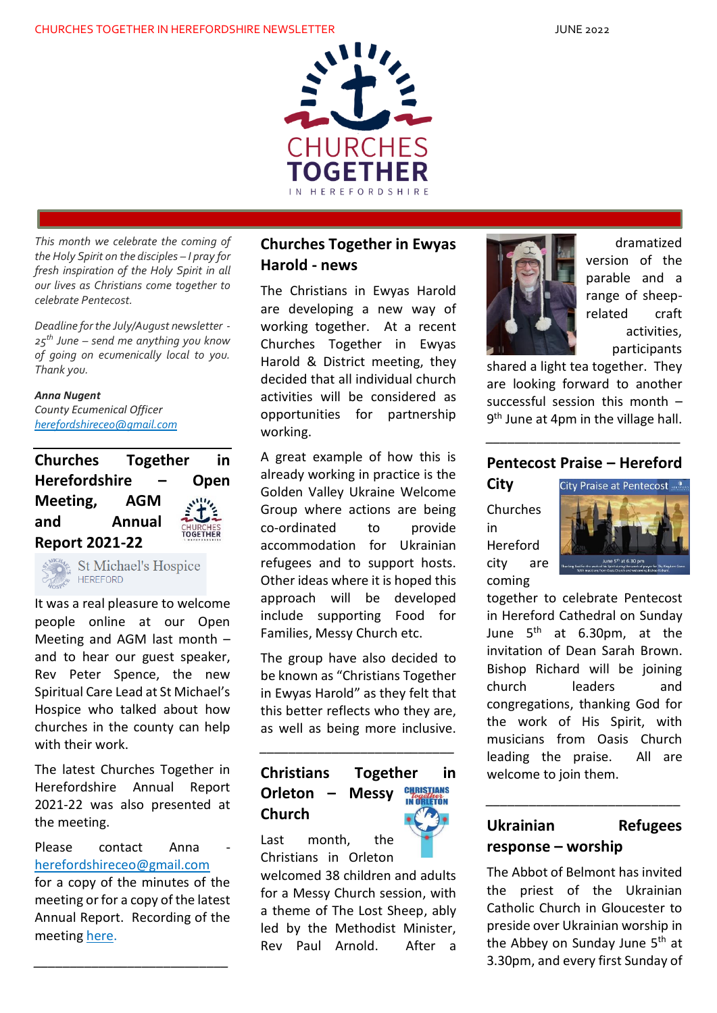

*This month we celebrate the coming of the Holy Spirit on the disciples – I pray for fresh inspiration of the Holy Spirit in all our lives as Christians come together to celebrate Pentecost.*

*Deadline for the July/August newsletter - 25th June – send me anything you know of going on ecumenically local to you. Thank you.*

*Anna Nugent County Ecumenical Officer [herefordshireceo@gmail.com](mailto:herefordshireceo@gmail.com)*

**Churches Together in Herefordshire – Open Meeting, AGM and Annual**  CHURCHES<br>T**OGETHER Report 2021-22**



**St Michael's Hospice** 

It was a real pleasure to welcome people online at our Open Meeting and AGM last month – and to hear our guest speaker, Rev Peter Spence, the new Spiritual Care Lead at St Michael's Hospice who talked about how churches in the county can help with their work.

The latest Churches Together in Herefordshire Annual Report 2021-22 was also presented at the meeting.

Please contact Anna [herefordshireceo@gmail.com](mailto:herefordshireceo@gmail.com)

for a copy of the minutes of the meeting or for a copy of the latest Annual Report. Recording of the meeting [here.](https://youtu.be/h2t-K67i8t4)

*\_\_\_\_\_\_\_\_\_\_\_\_\_\_\_\_\_\_\_\_\_\_\_\_\_\_\_*

### **Churches Together in Ewyas Harold - news**

The Christians in Ewyas Harold are developing a new way of working together. At a recent Churches Together in Ewyas Harold & District meeting, they decided that all individual church activities will be considered as opportunities for partnership working.

A great example of how this is already working in practice is the Golden Valley Ukraine Welcome Group where actions are being co-ordinated to provide accommodation for Ukrainian refugees and to support hosts. Other ideas where it is hoped this approach will be developed include supporting Food for Families, Messy Church etc.

The group have also decided to be known as "Christians Together in Ewyas Harold" as they felt that this better reflects who they are, as well as being more inclusive.

#### **Christians Together in CHRISTIANS Orleton – Messy Church**

*\_\_\_\_\_\_\_\_\_\_\_\_\_\_\_\_\_\_\_\_\_\_\_\_\_\_\_*

Last month, the Christians in Orleton







dramatized version of the parable and a range of sheeprelated craft activities, participants

shared a light tea together. They are looking forward to another successful session this month – 9<sup>th</sup> June at 4pm in the village hall.

#### **Pentecost Praise – Hereford**

*\_\_\_\_\_\_\_\_\_\_\_\_\_\_\_\_\_\_\_\_\_\_\_\_\_\_\_*

Churches in Hereford city are

coming

**City**



together to celebrate Pentecost in Hereford Cathedral on Sunday June 5<sup>th</sup> at 6.30pm, at the invitation of Dean Sarah Brown. Bishop Richard will be joining church leaders and congregations, thanking God for the work of His Spirit, with musicians from Oasis Church leading the praise. All are welcome to join them.

## **Ukrainian Refugees response – worship**

*\_\_\_\_\_\_\_\_\_\_\_\_\_\_\_\_\_\_\_\_\_\_\_\_\_\_\_*

The Abbot of Belmont has invited the priest of the Ukrainian Catholic Church in Gloucester to preside over Ukrainian worship in the Abbey on Sunday June 5<sup>th</sup> at 3.30pm, and every first Sunday of